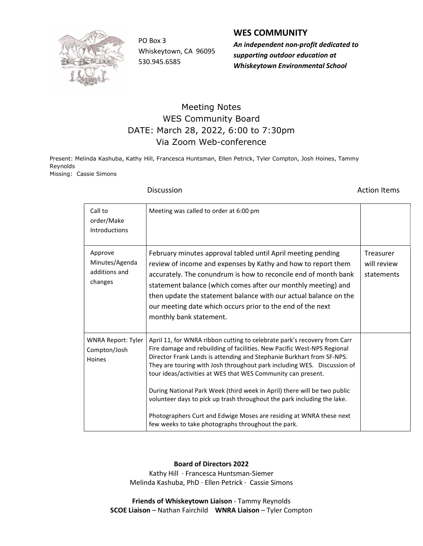

Whiskeytown, CA 96095 530.945.6585

## WES COMMUNITY

PO Box 3 An independent non-profit dedicated to supporting outdoor education at Whiskeytown Environmental School

## Meeting Notes WES Community Board DATE: March 28, 2022, 6:00 to 7:30pm Via Zoom Web-conference

Present: Melinda Kashuba, Kathy Hill, Francesca Huntsman, Ellen Petrick, Tyler Compton, Josh Hoines, Tammy Reynolds Missing: Cassie Simons

**Discussion Action Items** 

| Call to<br>order/Make<br><b>Introductions</b>         | Meeting was called to order at 6:00 pm                                                                                                                                                                                                                                                                                                                                                                                                                                                                                                                                                                                                                      |                                        |
|-------------------------------------------------------|-------------------------------------------------------------------------------------------------------------------------------------------------------------------------------------------------------------------------------------------------------------------------------------------------------------------------------------------------------------------------------------------------------------------------------------------------------------------------------------------------------------------------------------------------------------------------------------------------------------------------------------------------------------|----------------------------------------|
| Approve<br>Minutes/Agenda<br>additions and<br>changes | February minutes approval tabled until April meeting pending<br>review of income and expenses by Kathy and how to report them<br>accurately. The conundrum is how to reconcile end of month bank<br>statement balance (which comes after our monthly meeting) and<br>then update the statement balance with our actual balance on the<br>our meeting date which occurs prior to the end of the next<br>monthly bank statement.                                                                                                                                                                                                                              | Treasurer<br>will review<br>statements |
| <b>WNRA Report: Tyler</b><br>Compton/Josh<br>Hoines   | April 11, for WNRA ribbon cutting to celebrate park's recovery from Carr<br>Fire damage and rebuilding of facilities. New Pacific West-NPS Regional<br>Director Frank Lands is attending and Stephanie Burkhart from SF-NPS.<br>They are touring with Josh throughout park including WES. Discussion of<br>tour ideas/activities at WES that WES Community can present.<br>During National Park Week (third week in April) there will be two public<br>volunteer days to pick up trash throughout the park including the lake.<br>Photographers Curt and Edwige Moses are residing at WNRA these next<br>few weeks to take photographs throughout the park. |                                        |

Board of Directors 2022

Kathy Hill ∙ Francesca Huntsman-Siemer Melinda Kashuba, PhD ∙ Ellen Petrick ∙ Cassie Simons

Friends of Whiskeytown Liaison - Tammy Reynolds SCOE Liaison – Nathan Fairchild WNRA Liaison – Tyler Compton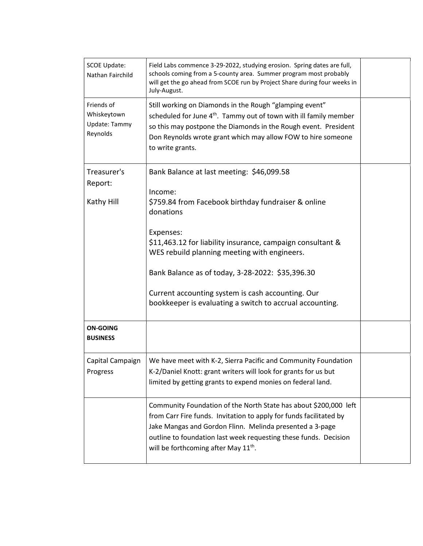| <b>SCOE Update:</b><br>Nathan Fairchild                | Field Labs commence 3-29-2022, studying erosion. Spring dates are full,<br>schools coming from a 5-county area. Summer program most probably<br>will get the go ahead from SCOE run by Project Share during four weeks in<br>July-August.                                                                                                                                                                                |  |
|--------------------------------------------------------|--------------------------------------------------------------------------------------------------------------------------------------------------------------------------------------------------------------------------------------------------------------------------------------------------------------------------------------------------------------------------------------------------------------------------|--|
| Friends of<br>Whiskeytown<br>Update: Tammy<br>Reynolds | Still working on Diamonds in the Rough "glamping event"<br>scheduled for June 4 <sup>th</sup> . Tammy out of town with ill family member<br>so this may postpone the Diamonds in the Rough event. President<br>Don Reynolds wrote grant which may allow FOW to hire someone<br>to write grants.                                                                                                                          |  |
| Treasurer's<br>Report:<br>Kathy Hill                   | Bank Balance at last meeting: \$46,099.58<br>Income:<br>\$759.84 from Facebook birthday fundraiser & online<br>donations<br>Expenses:<br>\$11,463.12 for liability insurance, campaign consultant &<br>WES rebuild planning meeting with engineers.<br>Bank Balance as of today, 3-28-2022: \$35,396.30<br>Current accounting system is cash accounting. Our<br>bookkeeper is evaluating a switch to accrual accounting. |  |
| <b>ON-GOING</b><br><b>BUSINESS</b>                     |                                                                                                                                                                                                                                                                                                                                                                                                                          |  |
| Capital Campaign<br>Progress                           | We have meet with K-2, Sierra Pacific and Community Foundation<br>K-2/Daniel Knott: grant writers will look for grants for us but<br>limited by getting grants to expend monies on federal land.                                                                                                                                                                                                                         |  |
|                                                        | Community Foundation of the North State has about \$200,000 left<br>from Carr Fire funds. Invitation to apply for funds facilitated by<br>Jake Mangas and Gordon Flinn. Melinda presented a 3-page<br>outline to foundation last week requesting these funds. Decision<br>will be forthcoming after May 11 <sup>th</sup> .                                                                                               |  |
|                                                        |                                                                                                                                                                                                                                                                                                                                                                                                                          |  |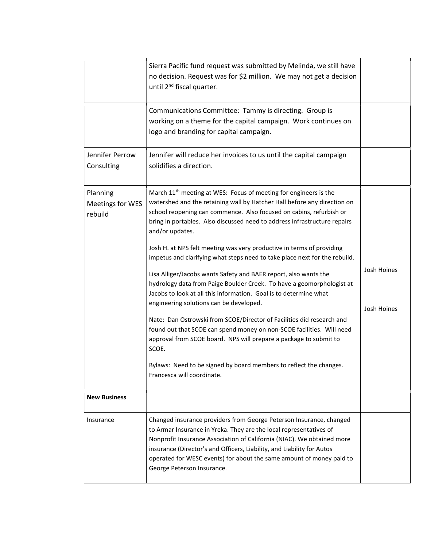|                                         | Sierra Pacific fund request was submitted by Melinda, we still have<br>no decision. Request was for \$2 million. We may not get a decision<br>until 2 <sup>nd</sup> fiscal quarter.                                                                                                                                                                                                                                                                                                                                                                                                                                                                                                                                                                                                                                                                                                                                                                                                                                                                                                     |                            |
|-----------------------------------------|-----------------------------------------------------------------------------------------------------------------------------------------------------------------------------------------------------------------------------------------------------------------------------------------------------------------------------------------------------------------------------------------------------------------------------------------------------------------------------------------------------------------------------------------------------------------------------------------------------------------------------------------------------------------------------------------------------------------------------------------------------------------------------------------------------------------------------------------------------------------------------------------------------------------------------------------------------------------------------------------------------------------------------------------------------------------------------------------|----------------------------|
|                                         | Communications Committee: Tammy is directing. Group is<br>working on a theme for the capital campaign. Work continues on<br>logo and branding for capital campaign.                                                                                                                                                                                                                                                                                                                                                                                                                                                                                                                                                                                                                                                                                                                                                                                                                                                                                                                     |                            |
| Jennifer Perrow<br>Consulting           | Jennifer will reduce her invoices to us until the capital campaign<br>solidifies a direction.                                                                                                                                                                                                                                                                                                                                                                                                                                                                                                                                                                                                                                                                                                                                                                                                                                                                                                                                                                                           |                            |
| Planning<br>Meetings for WES<br>rebuild | March 11 <sup>th</sup> meeting at WES: Focus of meeting for engineers is the<br>watershed and the retaining wall by Hatcher Hall before any direction on<br>school reopening can commence. Also focused on cabins, refurbish or<br>bring in portables. Also discussed need to address infrastructure repairs<br>and/or updates.<br>Josh H. at NPS felt meeting was very productive in terms of providing<br>impetus and clarifying what steps need to take place next for the rebuild.<br>Lisa Alliger/Jacobs wants Safety and BAER report, also wants the<br>hydrology data from Paige Boulder Creek. To have a geomorphologist at<br>Jacobs to look at all this information. Goal is to determine what<br>engineering solutions can be developed.<br>Nate: Dan Ostrowski from SCOE/Director of Facilities did research and<br>found out that SCOE can spend money on non-SCOE facilities. Will need<br>approval from SCOE board. NPS will prepare a package to submit to<br>SCOE.<br>Bylaws: Need to be signed by board members to reflect the changes.<br>Francesca will coordinate. | Josh Hoines<br>Josh Hoines |
| <b>New Business</b>                     |                                                                                                                                                                                                                                                                                                                                                                                                                                                                                                                                                                                                                                                                                                                                                                                                                                                                                                                                                                                                                                                                                         |                            |
| Insurance                               | Changed insurance providers from George Peterson Insurance, changed<br>to Armar Insurance in Yreka. They are the local representatives of<br>Nonprofit Insurance Association of California (NIAC). We obtained more<br>insurance (Director's and Officers, Liability, and Liability for Autos<br>operated for WESC events) for about the same amount of money paid to<br>George Peterson Insurance.                                                                                                                                                                                                                                                                                                                                                                                                                                                                                                                                                                                                                                                                                     |                            |